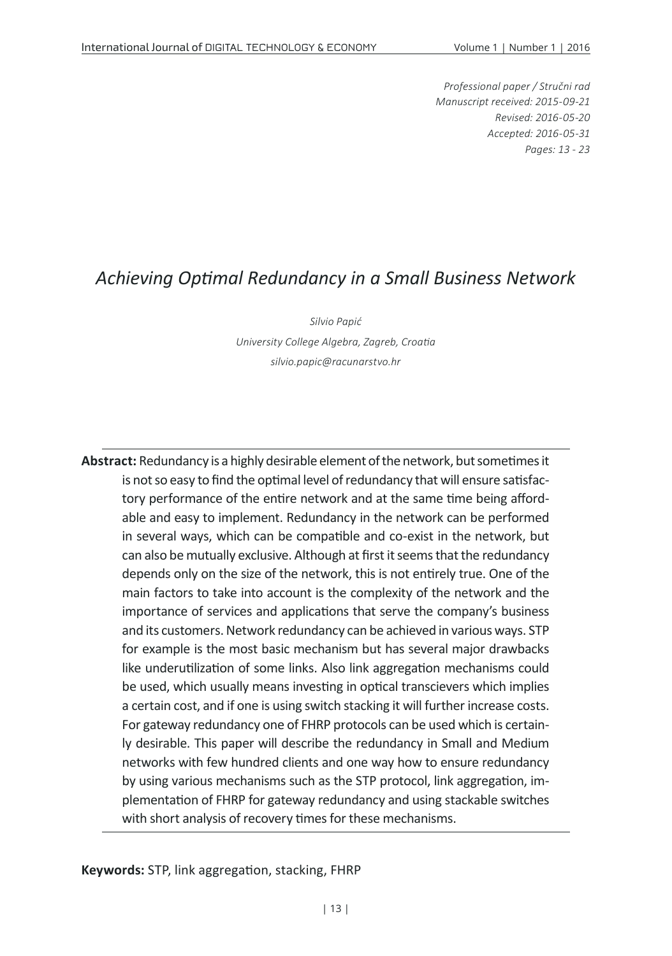*Professional paper / Stručni rad Manuscript received: 2015-09-21 Revised: 2016-05-20 Accepted: 2016-05-31 Pages: 13 - 23*

#### *Achieving Optimal Redundancy in a Small Business Network*

*Silvio Papić University College Algebra, Zagreb, Croatia silvio.papic@racunarstvo.hr*

**Abstract:** Redundancy is a highly desirable element of the network, but sometimes it is not so easy to find the optimal level of redundancy that will ensure satisfactory performance of the entire network and at the same time being affordable and easy to implement. Redundancy in the network can be performed in several ways, which can be compatible and co-exist in the network, but can also be mutually exclusive. Although at first it seems that the redundancy depends only on the size of the network, this is not entirely true. One of the main factors to take into account is the complexity of the network and the importance of services and applications that serve the company's business and its customers. Network redundancy can be achieved in various ways. STP for example is the most basic mechanism but has several major drawbacks like underutilization of some links. Also link aggregation mechanisms could be used, which usually means investing in optical transcievers which implies a certain cost, and if one is using switch stacking it will further increase costs. For gateway redundancy one of FHRP protocols can be used which is certainly desirable. This paper will describe the redundancy in Small and Medium networks with few hundred clients and one way how to ensure redundancy by using various mechanisms such as the STP protocol, link aggregation, implementation of FHRP for gateway redundancy and using stackable switches with short analysis of recovery times for these mechanisms.

**Keywords:** STP, link aggregation, stacking, FHRP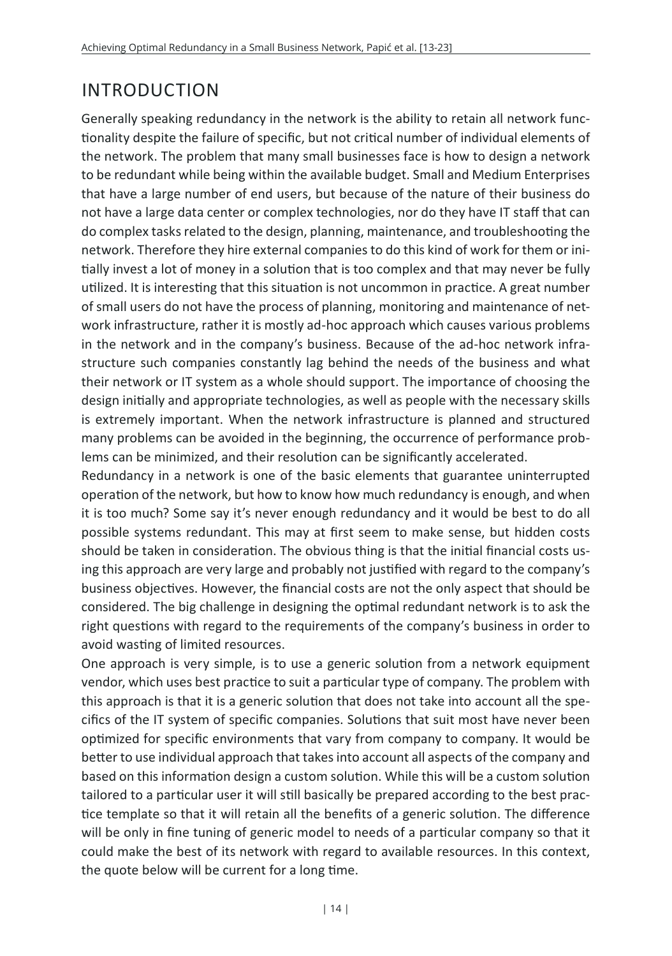# INTRODUCTION

Generally speaking redundancy in the network is the ability to retain all network functionality despite the failure of specific, but not critical number of individual elements of the network. The problem that many small businesses face is how to design a network to be redundant while being within the available budget. Small and Medium Enterprises that have a large number of end users, but because of the nature of their business do not have a large data center or complex technologies, nor do they have IT staff that can do complex tasks related to the design, planning, maintenance, and troubleshooting the network. Therefore they hire external companies to do this kind of work for them or initially invest a lot of money in a solution that is too complex and that may never be fully utilized. It is interesting that this situation is not uncommon in practice. A great number of small users do not have the process of planning, monitoring and maintenance of network infrastructure, rather it is mostly ad-hoc approach which causes various problems in the network and in the company's business. Because of the ad-hoc network infrastructure such companies constantly lag behind the needs of the business and what their network or IT system as a whole should support. The importance of choosing the design initially and appropriate technologies, as well as people with the necessary skills is extremely important. When the network infrastructure is planned and structured many problems can be avoided in the beginning, the occurrence of performance problems can be minimized, and their resolution can be significantly accelerated.

Redundancy in a network is one of the basic elements that guarantee uninterrupted operation of the network, but how to know how much redundancy is enough, and when it is too much? Some say it's never enough redundancy and it would be best to do all possible systems redundant. This may at first seem to make sense, but hidden costs should be taken in consideration. The obvious thing is that the initial financial costs using this approach are very large and probably not justified with regard to the company's business objectives. However, the financial costs are not the only aspect that should be considered. The big challenge in designing the optimal redundant network is to ask the right questions with regard to the requirements of the company's business in order to avoid wasting of limited resources.

One approach is very simple, is to use a generic solution from a network equipment vendor, which uses best practice to suit a particular type of company. The problem with this approach is that it is a generic solution that does not take into account all the specifics of the IT system of specific companies. Solutions that suit most have never been optimized for specific environments that vary from company to company. It would be better to use individual approach that takes into account all aspects of the company and based on this information design a custom solution. While this will be a custom solution tailored to a particular user it will still basically be prepared according to the best practice template so that it will retain all the benefits of a generic solution. The difference will be only in fine tuning of generic model to needs of a particular company so that it could make the best of its network with regard to available resources. In this context, the quote below will be current for a long time.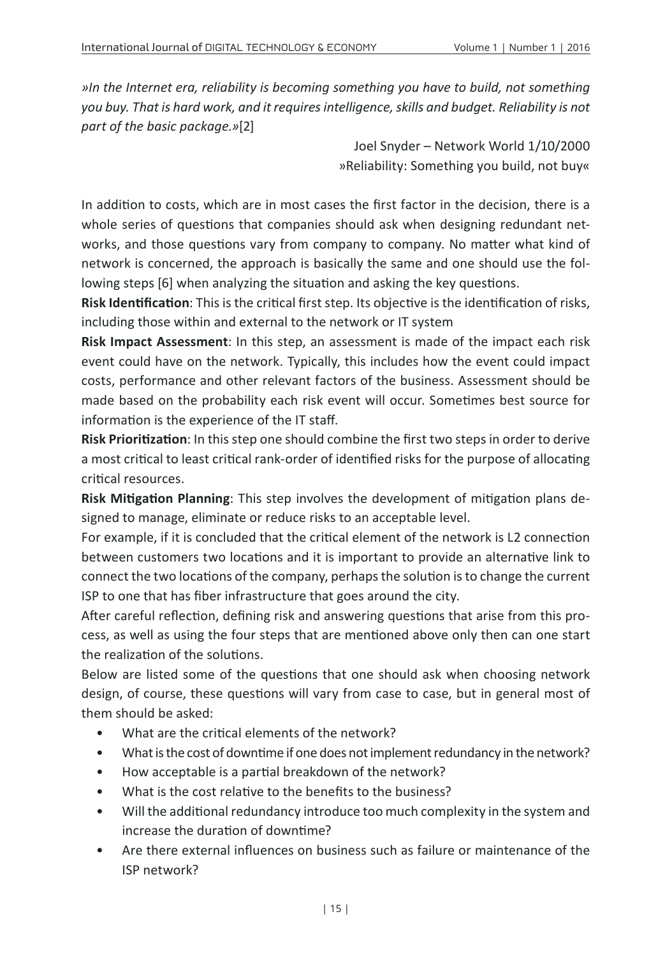*»In the Internet era, reliability is becoming something you have to build, not something you buy. That is hard work, and it requires intelligence, skills and budget. Reliability is not part of the basic package.»*[2]

> Joel Snyder – Network World 1/10/2000 »Reliability: Something you build, not buy«

In addition to costs, which are in most cases the first factor in the decision, there is a whole series of questions that companies should ask when designing redundant networks, and those questions vary from company to company. No matter what kind of network is concerned, the approach is basically the same and one should use the following steps [6] when analyzing the situation and asking the key questions.

**Risk Identification**: This is the critical first step. Its objective is the identification of risks, including those within and external to the network or IT system

**Risk Impact Assessment**: In this step, an assessment is made of the impact each risk event could have on the network. Typically, this includes how the event could impact costs, performance and other relevant factors of the business. Assessment should be made based on the probability each risk event will occur. Sometimes best source for information is the experience of the IT staff.

**Risk Prioritization**: In this step one should combine the first two steps in order to derive a most critical to least critical rank-order of identified risks for the purpose of allocating critical resources.

**Risk Mitigation Planning**: This step involves the development of mitigation plans designed to manage, eliminate or reduce risks to an acceptable level.

For example, if it is concluded that the critical element of the network is L2 connection between customers two locations and it is important to provide an alternative link to connect the two locations of the company, perhaps the solution is to change the current ISP to one that has fiber infrastructure that goes around the city.

After careful reflection, defining risk and answering questions that arise from this process, as well as using the four steps that are mentioned above only then can one start the realization of the solutions.

Below are listed some of the questions that one should ask when choosing network design, of course, these questions will vary from case to case, but in general most of them should be asked:

- What are the critical elements of the network?
- What is the cost of downtime if one does not implement redundancy in the network?
- How acceptable is a partial breakdown of the network?
- What is the cost relative to the benefits to the business?
- Will the additional redundancy introduce too much complexity in the system and increase the duration of downtime?
- Are there external influences on business such as failure or maintenance of the ISP network?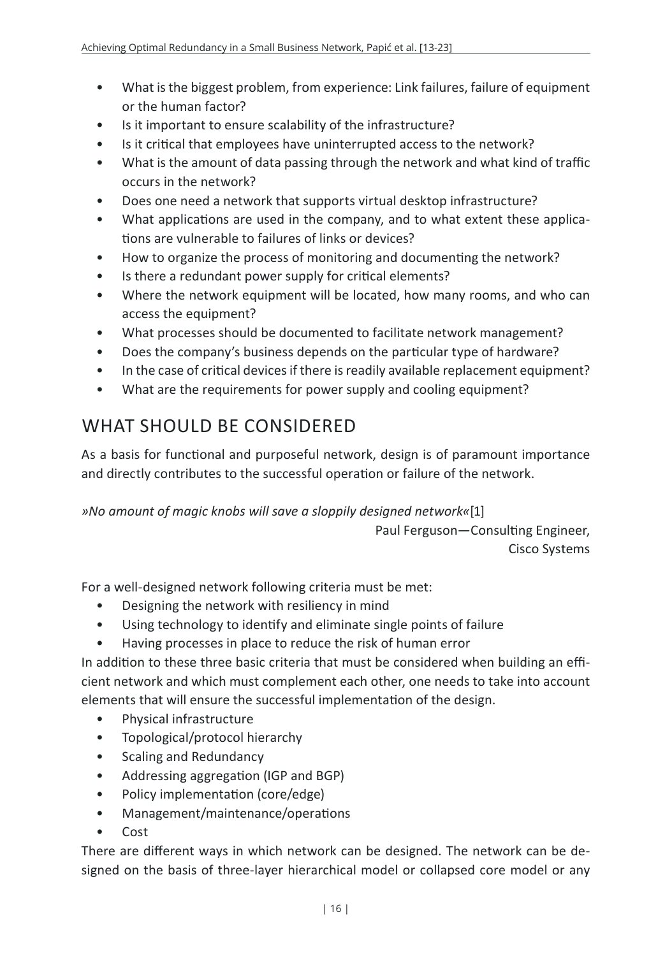- What is the biggest problem, from experience: Link failures, failure of equipment or the human factor?
- Is it important to ensure scalability of the infrastructure?
- Is it critical that employees have uninterrupted access to the network?
- What is the amount of data passing through the network and what kind of traffic occurs in the network?
- Does one need a network that supports virtual desktop infrastructure?
- What applications are used in the company, and to what extent these applications are vulnerable to failures of links or devices?
- How to organize the process of monitoring and documenting the network?
- Is there a redundant power supply for critical elements?
- Where the network equipment will be located, how many rooms, and who can access the equipment?
- What processes should be documented to facilitate network management?
- Does the company's business depends on the particular type of hardware?
- In the case of critical devices if there is readily available replacement equipment?
- What are the requirements for power supply and cooling equipment?

## WHAT SHOULD BE CONSIDERED

As a basis for functional and purposeful network, design is of paramount importance and directly contributes to the successful operation or failure of the network.

*»No amount of magic knobs will save a sloppily designed network«*[1]

Paul Ferguson—Consulting Engineer, Cisco Systems

For a well-designed network following criteria must be met:

- Designing the network with resiliency in mind
- Using technology to identify and eliminate single points of failure
- Having processes in place to reduce the risk of human error

In addition to these three basic criteria that must be considered when building an efficient network and which must complement each other, one needs to take into account elements that will ensure the successful implementation of the design.

- Physical infrastructure
- Topological/protocol hierarchy
- Scaling and Redundancy
- Addressing aggregation (IGP and BGP)
- Policy implementation (core/edge)
- Management/maintenance/operations
- Cost

There are different ways in which network can be designed. The network can be designed on the basis of three-layer hierarchical model or collapsed core model or any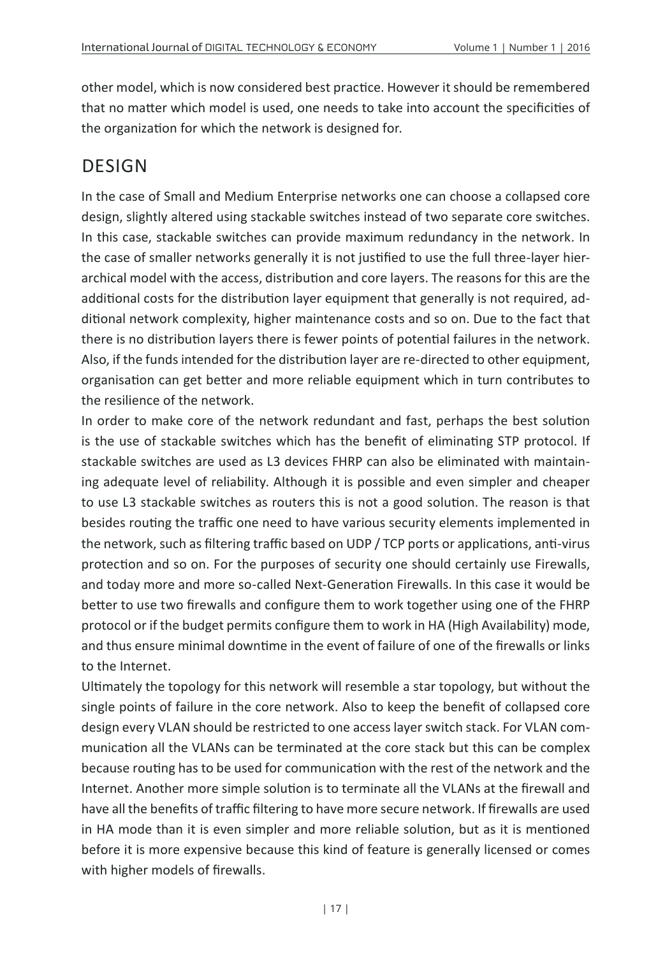other model, which is now considered best practice. However it should be remembered that no matter which model is used, one needs to take into account the specificities of the organization for which the network is designed for.

### DESIGN

In the case of Small and Medium Enterprise networks one can choose a collapsed core design, slightly altered using stackable switches instead of two separate core switches. In this case, stackable switches can provide maximum redundancy in the network. In the case of smaller networks generally it is not justified to use the full three-layer hierarchical model with the access, distribution and core layers. The reasons for this are the additional costs for the distribution layer equipment that generally is not required, additional network complexity, higher maintenance costs and so on. Due to the fact that there is no distribution layers there is fewer points of potential failures in the network. Also, if the funds intended for the distribution layer are re-directed to other equipment, organisation can get better and more reliable equipment which in turn contributes to the resilience of the network.

In order to make core of the network redundant and fast, perhaps the best solution is the use of stackable switches which has the benefit of eliminating STP protocol. If stackable switches are used as L3 devices FHRP can also be eliminated with maintaining adequate level of reliability. Although it is possible and even simpler and cheaper to use L3 stackable switches as routers this is not a good solution. The reason is that besides routing the traffic one need to have various security elements implemented in the network, such as filtering traffic based on UDP / TCP ports or applications, anti-virus protection and so on. For the purposes of security one should certainly use Firewalls, and today more and more so-called Next-Generation Firewalls. In this case it would be better to use two firewalls and configure them to work together using one of the FHRP protocol or if the budget permits configure them to work in HA (High Availability) mode, and thus ensure minimal downtime in the event of failure of one of the firewalls or links to the Internet.

Ultimately the topology for this network will resemble a star topology, but without the single points of failure in the core network. Also to keep the benefit of collapsed core design every VLAN should be restricted to one access layer switch stack. For VLAN communication all the VLANs can be terminated at the core stack but this can be complex because routing has to be used for communication with the rest of the network and the Internet. Another more simple solution is to terminate all the VLANs at the firewall and have all the benefits of traffic filtering to have more secure network. If firewalls are used in HA mode than it is even simpler and more reliable solution, but as it is mentioned before it is more expensive because this kind of feature is generally licensed or comes with higher models of firewalls.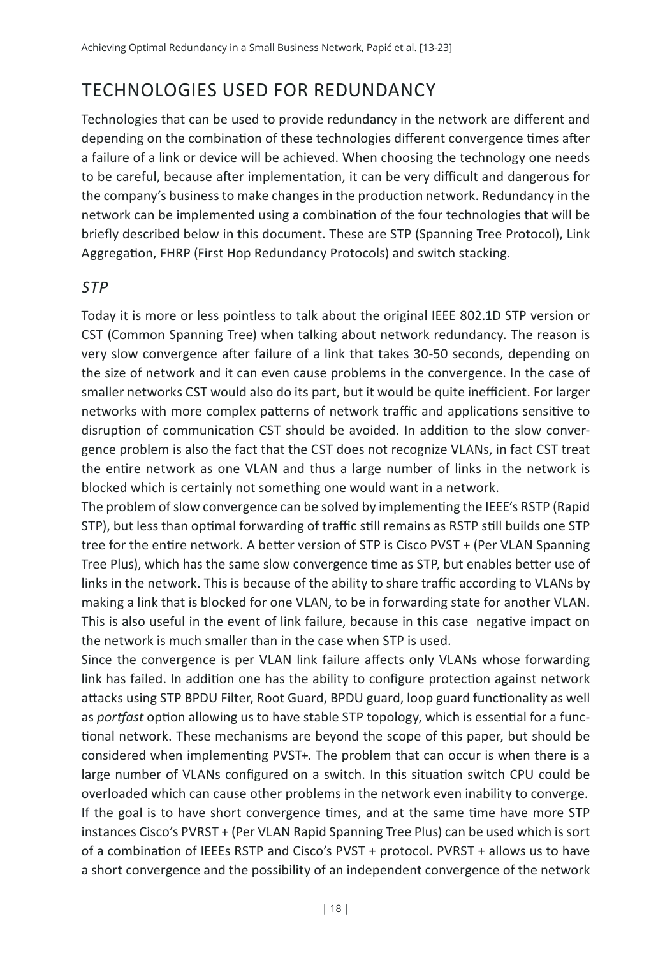# TECHNOLOGIES USED FOR REDUNDANCY

Technologies that can be used to provide redundancy in the network are different and depending on the combination of these technologies different convergence times after a failure of a link or device will be achieved. When choosing the technology one needs to be careful, because after implementation, it can be very difficult and dangerous for the company's business to make changes in the production network. Redundancy in the network can be implemented using a combination of the four technologies that will be briefly described below in this document. These are STP (Spanning Tree Protocol), Link Aggregation, FHRP (First Hop Redundancy Protocols) and switch stacking.

#### *STP*

Today it is more or less pointless to talk about the original IEEE 802.1D STP version or CST (Common Spanning Tree) when talking about network redundancy. The reason is very slow convergence after failure of a link that takes 30-50 seconds, depending on the size of network and it can even cause problems in the convergence. In the case of smaller networks CST would also do its part, but it would be quite inefficient. For larger networks with more complex patterns of network traffic and applications sensitive to disruption of communication CST should be avoided. In addition to the slow convergence problem is also the fact that the CST does not recognize VLANs, in fact CST treat the entire network as one VLAN and thus a large number of links in the network is blocked which is certainly not something one would want in a network.

The problem of slow convergence can be solved by implementing the IEEE's RSTP (Rapid STP), but less than optimal forwarding of traffic still remains as RSTP still builds one STP tree for the entire network. A better version of STP is Cisco PVST + (Per VLAN Spanning Tree Plus), which has the same slow convergence time as STP, but enables better use of links in the network. This is because of the ability to share traffic according to VLANs by making a link that is blocked for one VLAN, to be in forwarding state for another VLAN. This is also useful in the event of link failure, because in this case negative impact on the network is much smaller than in the case when STP is used.

Since the convergence is per VLAN link failure affects only VLANs whose forwarding link has failed. In addition one has the ability to configure protection against network attacks using STP BPDU Filter, Root Guard, BPDU guard, loop guard functionality as well as *portfast* option allowing us to have stable STP topology, which is essential for a functional network. These mechanisms are beyond the scope of this paper, but should be considered when implementing PVST+. The problem that can occur is when there is a large number of VLANs configured on a switch. In this situation switch CPU could be overloaded which can cause other problems in the network even inability to converge. If the goal is to have short convergence times, and at the same time have more STP instances Cisco's PVRST + (Per VLAN Rapid Spanning Tree Plus) can be used which is sort of a combination of IEEEs RSTP and Cisco's PVST + protocol. PVRST + allows us to have a short convergence and the possibility of an independent convergence of the network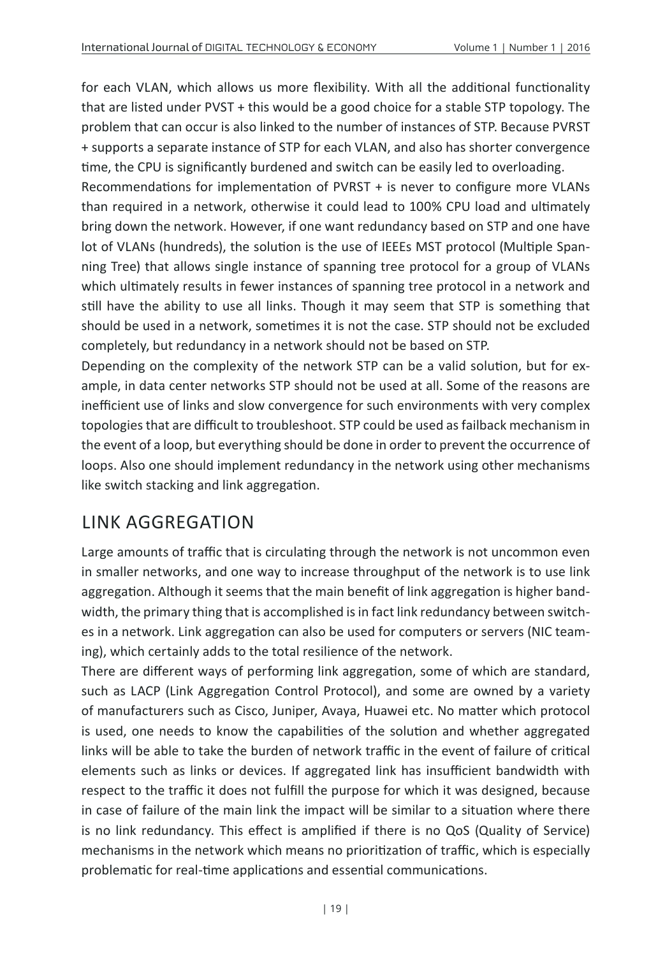for each VLAN, which allows us more flexibility. With all the additional functionality that are listed under PVST + this would be a good choice for a stable STP topology. The problem that can occur is also linked to the number of instances of STP. Because PVRST + supports a separate instance of STP for each VLAN, and also has shorter convergence time, the CPU is significantly burdened and switch can be easily led to overloading.

Recommendations for implementation of PVRST + is never to configure more VLANs than required in a network, otherwise it could lead to 100% CPU load and ultimately bring down the network. However, if one want redundancy based on STP and one have lot of VLANs (hundreds), the solution is the use of IEEEs MST protocol (Multiple Spanning Tree) that allows single instance of spanning tree protocol for a group of VLANs which ultimately results in fewer instances of spanning tree protocol in a network and still have the ability to use all links. Though it may seem that STP is something that should be used in a network, sometimes it is not the case. STP should not be excluded completely, but redundancy in a network should not be based on STP.

Depending on the complexity of the network STP can be a valid solution, but for example, in data center networks STP should not be used at all. Some of the reasons are inefficient use of links and slow convergence for such environments with very complex topologies that are difficult to troubleshoot. STP could be used as failback mechanism in the event of a loop, but everything should be done in order to prevent the occurrence of loops. Also one should implement redundancy in the network using other mechanisms like switch stacking and link aggregation.

# LINK AGGREGATION

Large amounts of traffic that is circulating through the network is not uncommon even in smaller networks, and one way to increase throughput of the network is to use link aggregation. Although it seems that the main benefit of link aggregation is higher bandwidth, the primary thing that is accomplished is in fact link redundancy between switches in a network. Link aggregation can also be used for computers or servers (NIC teaming), which certainly adds to the total resilience of the network.

There are different ways of performing link aggregation, some of which are standard, such as LACP (Link Aggregation Control Protocol), and some are owned by a variety of manufacturers such as Cisco, Juniper, Avaya, Huawei etc. No matter which protocol is used, one needs to know the capabilities of the solution and whether aggregated links will be able to take the burden of network traffic in the event of failure of critical elements such as links or devices. If aggregated link has insufficient bandwidth with respect to the traffic it does not fulfill the purpose for which it was designed, because in case of failure of the main link the impact will be similar to a situation where there is no link redundancy. This effect is amplified if there is no QoS (Quality of Service) mechanisms in the network which means no prioritization of traffic, which is especially problematic for real-time applications and essential communications.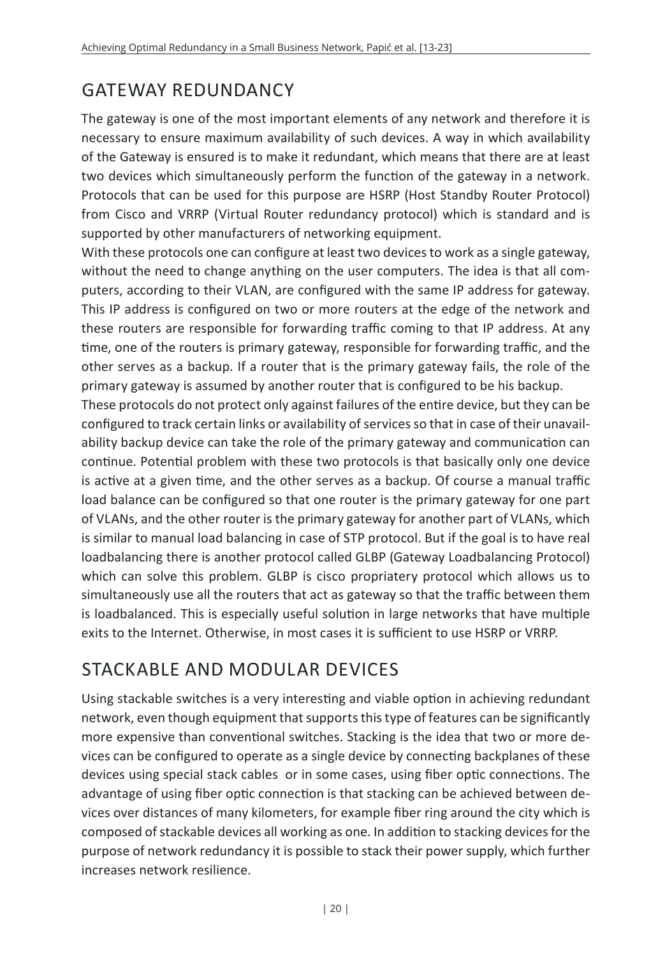# GATEWAY REDUNDANCY

The gateway is one of the most important elements of any network and therefore it is necessary to ensure maximum availability of such devices. A way in which availability of the Gateway is ensured is to make it redundant, which means that there are at least two devices which simultaneously perform the function of the gateway in a network. Protocols that can be used for this purpose are HSRP (Host Standby Router Protocol) from Cisco and VRRP (Virtual Router redundancy protocol) which is standard and is supported by other manufacturers of networking equipment.

With these protocols one can configure at least two devices to work as a single gateway, without the need to change anything on the user computers. The idea is that all computers, according to their VLAN, are configured with the same IP address for gateway. This IP address is configured on two or more routers at the edge of the network and these routers are responsible for forwarding traffic coming to that IP address. At any time, one of the routers is primary gateway, responsible for forwarding traffic, and the other serves as a backup. If a router that is the primary gateway fails, the role of the primary gateway is assumed by another router that is configured to be his backup.

These protocols do not protect only against failures of the entire device, but they can be configured to track certain links or availability of services so that in case of their unavailability backup device can take the role of the primary gateway and communication can continue. Potential problem with these two protocols is that basically only one device is active at a given time, and the other serves as a backup. Of course a manual traffic load balance can be configured so that one router is the primary gateway for one part of VLANs, and the other router is the primary gateway for another part of VLANs, which is similar to manual load balancing in case of STP protocol. But if the goal is to have real loadbalancing there is another protocol called GLBP (Gateway Loadbalancing Protocol) which can solve this problem. GLBP is cisco propriatery protocol which allows us to simultaneously use all the routers that act as gateway so that the traffic between them is loadbalanced. This is especially useful solution in large networks that have multiple exits to the Internet. Otherwise, in most cases it is sufficient to use HSRP or VRRP.

# STACKABLE AND MODULAR DEVICES

Using stackable switches is a very interesting and viable option in achieving redundant network, even though equipment that supports this type of features can be significantly more expensive than conventional switches. Stacking is the idea that two or more devices can be configured to operate as a single device by connecting backplanes of these devices using special stack cables or in some cases, using fiber optic connections. The advantage of using fiber optic connection is that stacking can be achieved between devices over distances of many kilometers, for example fiber ring around the city which is composed of stackable devices all working as one. In addition to stacking devices for the purpose of network redundancy it is possible to stack their power supply, which further increases network resilience.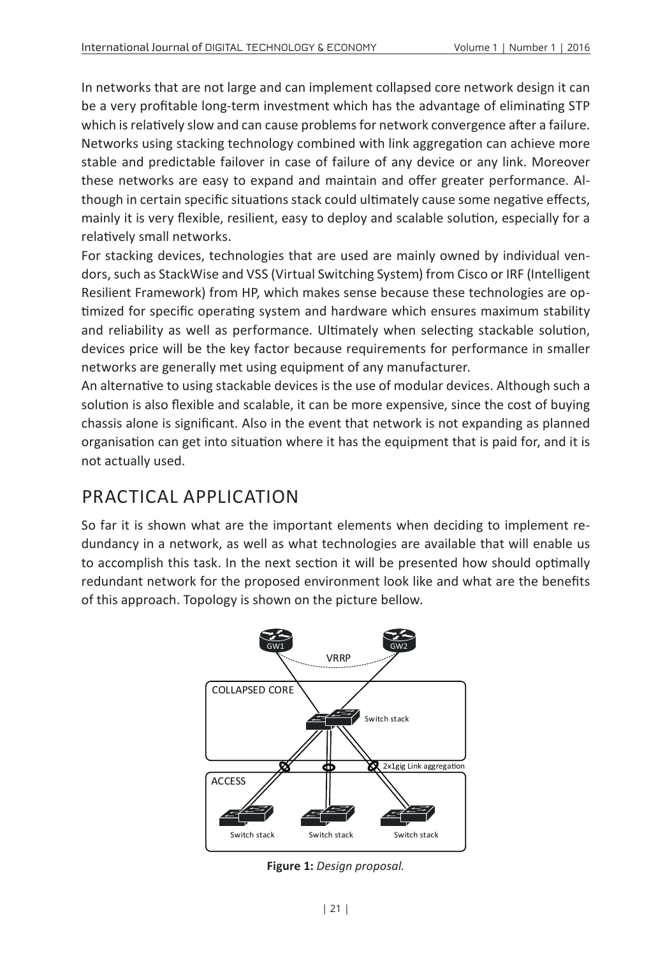In networks that are not large and can implement collapsed core network design it can be a very profitable long-term investment which has the advantage of eliminating STP which is relatively slow and can cause problems for network convergence after a failure. Networks using stacking technology combined with link aggregation can achieve more stable and predictable failover in case of failure of any device or any link. Moreover these networks are easy to expand and maintain and offer greater performance. Although in certain specific situations stack could ultimately cause some negative effects, mainly it is very flexible, resilient, easy to deploy and scalable solution, especially for a relatively small networks.

For stacking devices, technologies that are used are mainly owned by individual vendors, such as StackWise and VSS (Virtual Switching System) from Cisco or IRF (Intelligent Resilient Framework) from HP, which makes sense because these technologies are optimized for specific operating system and hardware which ensures maximum stability and reliability as well as performance. Ultimately when selecting stackable solution, devices price will be the key factor because requirements for performance in smaller networks are generally met using equipment of any manufacturer.

An alternative to using stackable devices is the use of modular devices. Although such a solution is also flexible and scalable, it can be more expensive, since the cost of buying chassis alone is significant. Also in the event that network is not expanding as planned organisation can get into situation where it has the equipment that is paid for, and it is not actually used.

#### PRACTICAL APPLICATION

So far it is shown what are the important elements when deciding to implement redundancy in a network, as well as what technologies are available that will enable us to accomplish this task. In the next section it will be presented how should optimally redundant network for the proposed environment look like and what are the benefits of this approach. Topology is shown on the picture bellow.



**Figure 1:** *Design proposal.*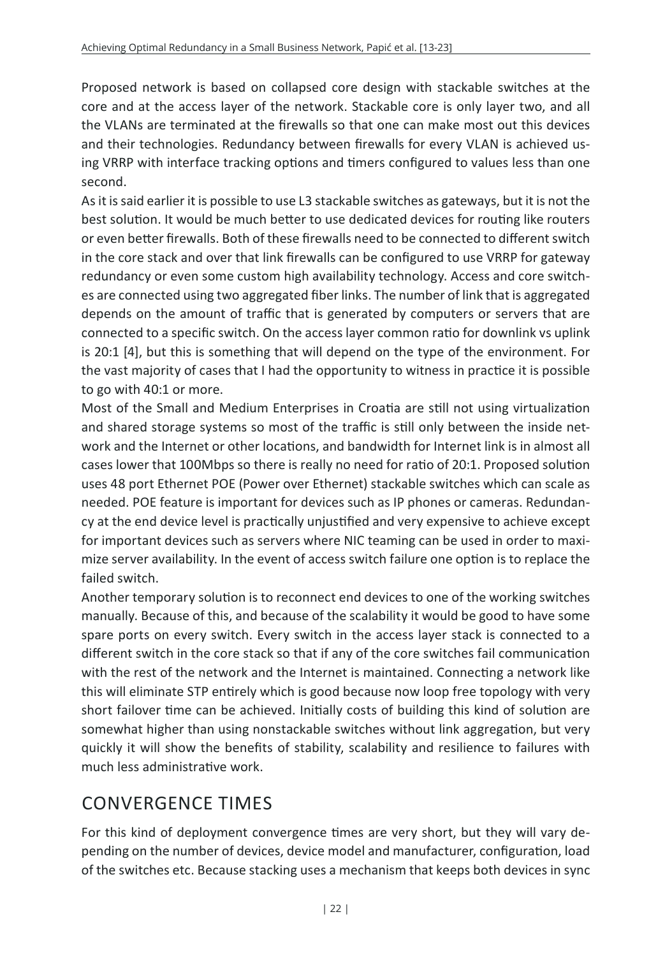Proposed network is based on collapsed core design with stackable switches at the core and at the access layer of the network. Stackable core is only layer two, and all the VLANs are terminated at the firewalls so that one can make most out this devices and their technologies. Redundancy between firewalls for every VLAN is achieved using VRRP with interface tracking options and timers configured to values less than one second.

As it is said earlier it is possible to use L3 stackable switches as gateways, but it is not the best solution. It would be much better to use dedicated devices for routing like routers or even better firewalls. Both of these firewalls need to be connected to different switch in the core stack and over that link firewalls can be configured to use VRRP for gateway redundancy or even some custom high availability technology. Access and core switches are connected using two aggregated fiber links. The number of link that is aggregated depends on the amount of traffic that is generated by computers or servers that are connected to a specific switch. On the access layer common ratio for downlink vs uplink is 20:1 [4], but this is something that will depend on the type of the environment. For the vast majority of cases that I had the opportunity to witness in practice it is possible to go with 40:1 or more.

Most of the Small and Medium Enterprises in Croatia are still not using virtualization and shared storage systems so most of the traffic is still only between the inside network and the Internet or other locations, and bandwidth for Internet link is in almost all cases lower that 100Mbps so there is really no need for ratio of 20:1. Proposed solution uses 48 port Ethernet POE (Power over Ethernet) stackable switches which can scale as needed. POE feature is important for devices such as IP phones or cameras. Redundancy at the end device level is practically unjustified and very expensive to achieve except for important devices such as servers where NIC teaming can be used in order to maximize server availability. In the event of access switch failure one option is to replace the failed switch.

Another temporary solution is to reconnect end devices to one of the working switches manually. Because of this, and because of the scalability it would be good to have some spare ports on every switch. Every switch in the access layer stack is connected to a different switch in the core stack so that if any of the core switches fail communication with the rest of the network and the Internet is maintained. Connecting a network like this will eliminate STP entirely which is good because now loop free topology with very short failover time can be achieved. Initially costs of building this kind of solution are somewhat higher than using nonstackable switches without link aggregation, but very quickly it will show the benefits of stability, scalability and resilience to failures with much less administrative work.

# CONVERGENCE TIMES

For this kind of deployment convergence times are very short, but they will vary depending on the number of devices, device model and manufacturer, configuration, load of the switches etc. Because stacking uses a mechanism that keeps both devices in sync